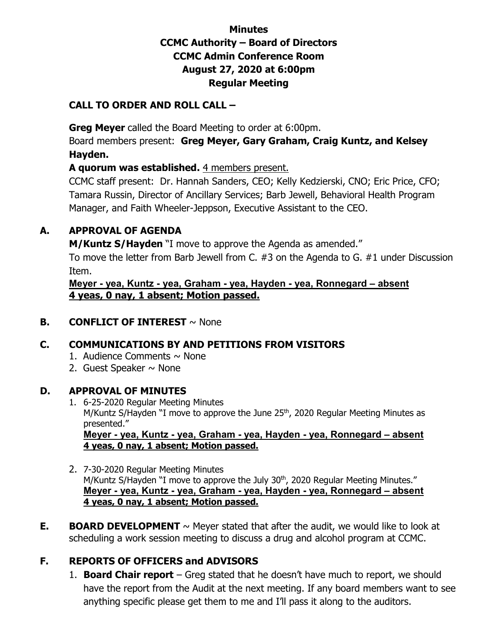### **Minutes CCMC Authority – Board of Directors CCMC Admin Conference Room August 27, 2020 at 6:00pm Regular Meeting**

#### **CALL TO ORDER AND ROLL CALL –**

**Greg Meyer** called the Board Meeting to order at 6:00pm.

Board members present: **Greg Meyer, Gary Graham, Craig Kuntz, and Kelsey Hayden.**

**A quorum was established.** 4 members present.

CCMC staff present: Dr. Hannah Sanders, CEO; Kelly Kedzierski, CNO; Eric Price, CFO; Tamara Russin, Director of Ancillary Services; Barb Jewell, Behavioral Health Program Manager, and Faith Wheeler-Jeppson, Executive Assistant to the CEO.

### **A. APPROVAL OF AGENDA**

**M/Kuntz S/Hayden** "I move to approve the Agenda as amended."

To move the letter from Barb Jewell from C. #3 on the Agenda to G. #1 under Discussion Item.

**Meyer - yea, Kuntz - yea, Graham - yea, Hayden - yea, Ronnegard – absent 4 yeas, 0 nay, 1 absent; Motion passed.**

**B. CONFLICT OF INTEREST** ~ None

### **C. COMMUNICATIONS BY AND PETITIONS FROM VISITORS**

- 1. Audience Comments  $\sim$  None
- 2. Guest Speaker  $\sim$  None

#### **D. APPROVAL OF MINUTES**

- 1. 6-25-2020 Regular Meeting Minutes M/Kuntz S/Hayden "I move to approve the June 25<sup>th</sup>, 2020 Regular Meeting Minutes as presented." **Meyer - yea, Kuntz - yea, Graham - yea, Hayden - yea, Ronnegard – absent 4 yeas, 0 nay, 1 absent; Motion passed.**
- 2. 7-30-2020 Regular Meeting Minutes M/Kuntz S/Hayden "I move to approve the July 30<sup>th</sup>, 2020 Regular Meeting Minutes." **Meyer - yea, Kuntz - yea, Graham - yea, Hayden - yea, Ronnegard – absent 4 yeas, 0 nay, 1 absent; Motion passed.**
- **E. BOARD DEVELOPMENT**  $\sim$  Meyer stated that after the audit, we would like to look at scheduling a work session meeting to discuss a drug and alcohol program at CCMC.

# **F. REPORTS OF OFFICERS and ADVISORS**

1. **Board Chair report** – Greg stated that he doesn't have much to report, we should have the report from the Audit at the next meeting. If any board members want to see anything specific please get them to me and I'll pass it along to the auditors.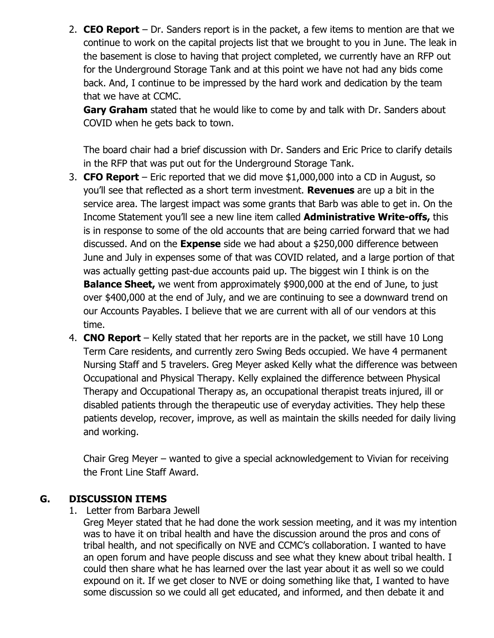2. **CEO Report** – Dr. Sanders report is in the packet, a few items to mention are that we continue to work on the capital projects list that we brought to you in June. The leak in the basement is close to having that project completed, we currently have an RFP out for the Underground Storage Tank and at this point we have not had any bids come back. And, I continue to be impressed by the hard work and dedication by the team that we have at CCMC.

**Gary Graham** stated that he would like to come by and talk with Dr. Sanders about COVID when he gets back to town.

The board chair had a brief discussion with Dr. Sanders and Eric Price to clarify details in the RFP that was put out for the Underground Storage Tank.

- 3. **CFO Report** Eric reported that we did move \$1,000,000 into a CD in August, so you'll see that reflected as a short term investment. **Revenues** are up a bit in the service area. The largest impact was some grants that Barb was able to get in. On the Income Statement you'll see a new line item called **Administrative Write-offs,** this is in response to some of the old accounts that are being carried forward that we had discussed. And on the **Expense** side we had about a \$250,000 difference between June and July in expenses some of that was COVID related, and a large portion of that was actually getting past-due accounts paid up. The biggest win I think is on the **Balance Sheet,** we went from approximately \$900,000 at the end of June, to just over \$400,000 at the end of July, and we are continuing to see a downward trend on our Accounts Payables. I believe that we are current with all of our vendors at this time.
- 4. **CNO Report** Kelly stated that her reports are in the packet, we still have 10 Long Term Care residents, and currently zero Swing Beds occupied. We have 4 permanent Nursing Staff and 5 travelers. Greg Meyer asked Kelly what the difference was between Occupational and Physical Therapy. Kelly explained the difference between Physical Therapy and Occupational Therapy as, an occupational therapist treats injured, ill or disabled patients through the therapeutic use of everyday activities. They help these patients develop, recover, improve, as well as maintain the skills needed for daily living and working.

Chair Greg Meyer – wanted to give a special acknowledgement to Vivian for receiving the Front Line Staff Award.

#### **G. DISCUSSION ITEMS**

1. Letter from Barbara Jewell

Greg Meyer stated that he had done the work session meeting, and it was my intention was to have it on tribal health and have the discussion around the pros and cons of tribal health, and not specifically on NVE and CCMC's collaboration. I wanted to have an open forum and have people discuss and see what they knew about tribal health. I could then share what he has learned over the last year about it as well so we could expound on it. If we get closer to NVE or doing something like that, I wanted to have some discussion so we could all get educated, and informed, and then debate it and